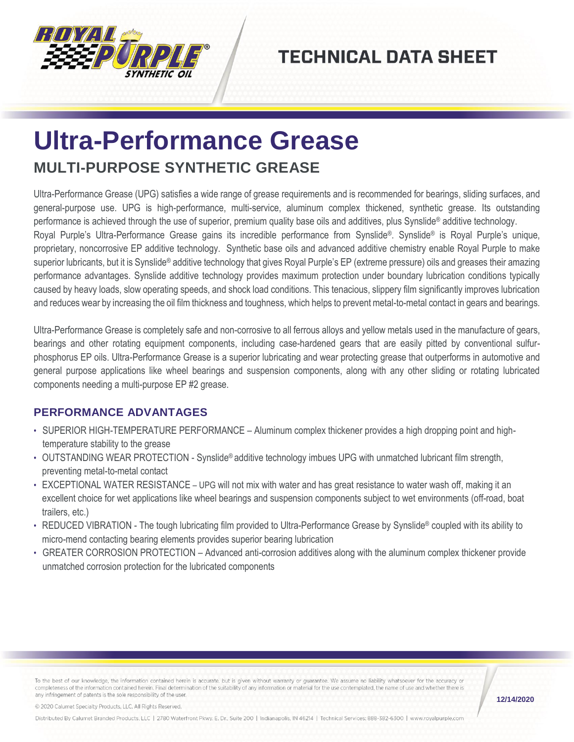

## **TECHNICAL DATA SHEET**

## **Ultra-Performance Grease MULTI-PURPOSE SYNTHETIC GREASE**

Ultra-Performance Grease (UPG) satisfies a wide range of grease requirements and is recommended for bearings, sliding surfaces, and general-purpose use. UPG is high-performance, multi-service, aluminum complex thickened, synthetic grease. Its outstanding performance is achieved through the use of superior, premium quality base oils and additives, plus Synslide® additive technology. Royal Purple's Ultra-Performance Grease gains its incredible performance from Synslide®. Synslide® is Royal Purple's unique, proprietary, noncorrosive EP additive technology. Synthetic base oils and advanced additive chemistry enable Royal Purple to make superior lubricants, but it is Synslide® additive technology that gives Royal Purple's EP (extreme pressure) oils and greases their amazing performance advantages. Synslide additive technology provides maximum protection under boundary lubrication conditions typically caused by heavy loads, slow operating speeds, and shock load conditions. This tenacious, slippery film significantly improves lubrication and reduces wear by increasing the oil film thickness and toughness, which helps to prevent metal-to-metal contact in gears and bearings.

Ultra-Performance Grease is completely safe and non-corrosive to all ferrous alloys and yellow metals used in the manufacture of gears, bearings and other rotating equipment components, including case-hardened gears that are easily pitted by conventional sulfurphosphorus EP oils. Ultra-Performance Grease is a superior lubricating and wear protecting grease that outperforms in automotive and general purpose applications like wheel bearings and suspension components, along with any other sliding or rotating lubricated components needing a multi-purpose EP #2 grease.

## **PERFORMANCE ADVANTAGES**

- SUPERIOR HIGH-TEMPERATURE PERFORMANCE Aluminum complex thickener provides a high dropping point and hightemperature stability to the grease
- OUTSTANDING WEAR PROTECTION Synslide® additive technology imbues UPG with unmatched lubricant film strength, preventing metal-to-metal contact
- EXCEPTIONAL WATER RESISTANCE UPG will not mix with water and has great resistance to water wash off, making it an excellent choice for wet applications like wheel bearings and suspension components subject to wet environments (off-road, boat trailers, etc.)
- REDUCED VIBRATION The tough lubricating film provided to Ultra-Performance Grease by Synslide® coupled with its ability to micro-mend contacting bearing elements provides superior bearing lubrication
- GREATER CORROSION PROTECTION Advanced anti-corrosion additives along with the aluminum complex thickener provide unmatched corrosion protection for the lubricated components

To the best of our knowledge, the information contained herein is accurate, but is given without warranty or guarantee. We assume no liability whatsoever for the accuracy or completeness of the information contained herein. Final determination of the suitability of any information or material for the use contemplated, the name of use and whether there is any infringement of patents is the sole responsibility of the user.

**12/14/2020**

© 2020 Calumet Specialty Products, LLC, All Rights Reserved.